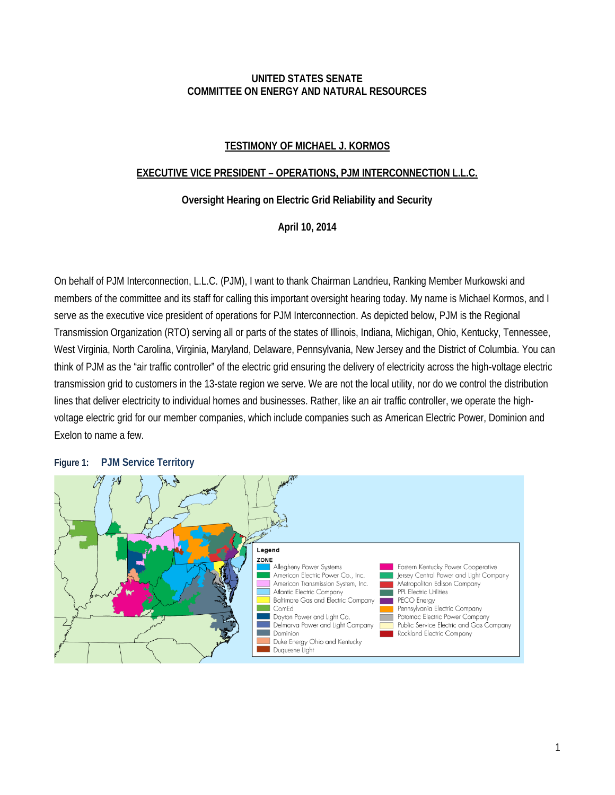#### **UNITED STATES SENATE COMMITTEE ON ENERGY AND NATURAL RESOURCES**

## **TESTIMONY OF MICHAEL J. KORMOS**

#### **EXECUTIVE VICE PRESIDENT – OPERATIONS, PJM INTERCONNECTION L.L.C.**

#### **Oversight Hearing on Electric Grid Reliability and Security**

#### **April 10, 2014**

On behalf of PJM Interconnection, L.L.C. (PJM), I want to thank Chairman Landrieu, Ranking Member Murkowski and members of the committee and its staff for calling this important oversight hearing today. My name is Michael Kormos, and I serve as the executive vice president of operations for PJM Interconnection. As depicted below, PJM is the Regional Transmission Organization (RTO) serving all or parts of the states of Illinois, Indiana, Michigan, Ohio, Kentucky, Tennessee, West Virginia, North Carolina, Virginia, Maryland, Delaware, Pennsylvania, New Jersey and the District of Columbia. You can think of PJM as the "air traffic controller" of the electric grid ensuring the delivery of electricity across the high-voltage electric transmission grid to customers in the 13-state region we serve. We are not the local utility, nor do we control the distribution lines that deliver electricity to individual homes and businesses. Rather, like an air traffic controller, we operate the highvoltage electric grid for our member companies, which include companies such as American Electric Power, Dominion and Exelon to name a few.

#### **Figure 1: PJM Service Territory**

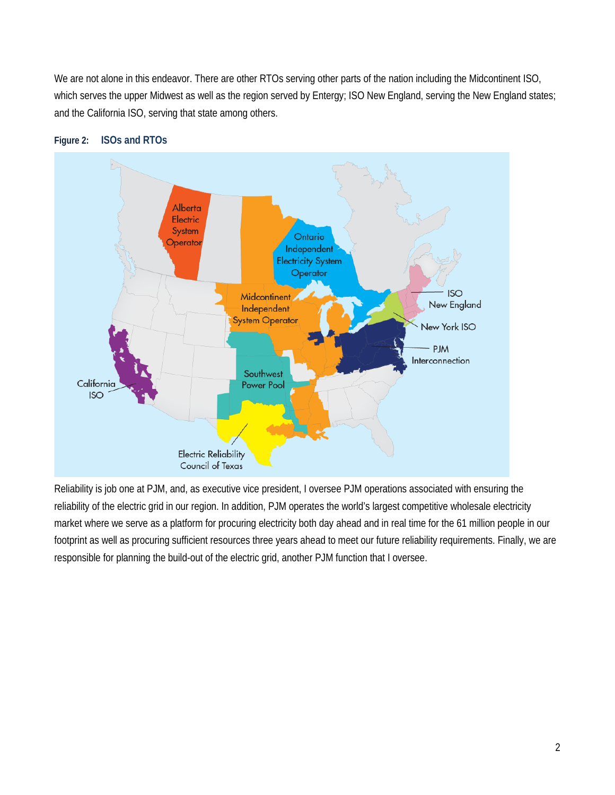We are not alone in this endeavor. There are other RTOs serving other parts of the nation including the Midcontinent ISO, which serves the upper Midwest as well as the region served by Entergy; ISO New England, serving the New England states; and the California ISO, serving that state among others.



### **Figure 2: ISOs and RTOs**

Reliability is job one at PJM, and, as executive vice president, I oversee PJM operations associated with ensuring the reliability of the electric grid in our region. In addition, PJM operates the world's largest competitive wholesale electricity market where we serve as a platform for procuring electricity both day ahead and in real time for the 61 million people in our footprint as well as procuring sufficient resources three years ahead to meet our future reliability requirements. Finally, we are responsible for planning the build-out of the electric grid, another PJM function that I oversee.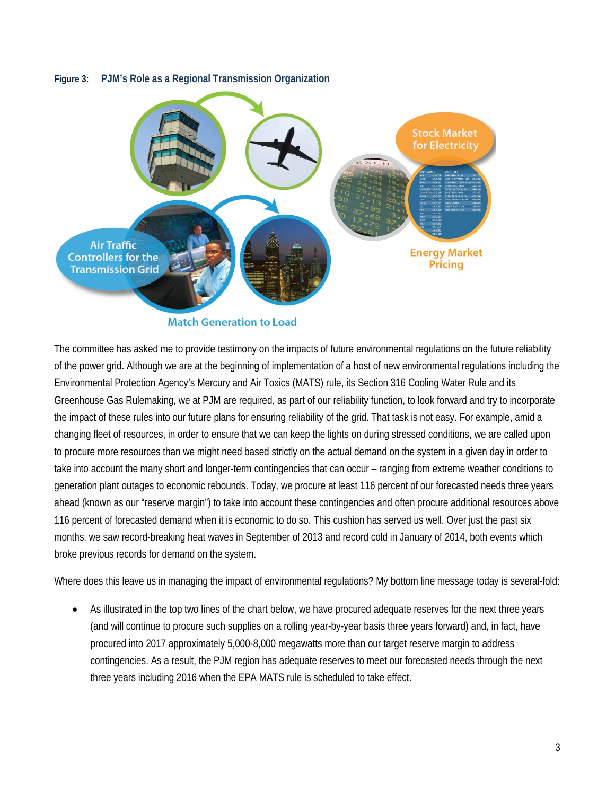# **Stock Market** for Electricity **Air Traffic Energy Market Controllers for the Pricing Transmission Grid**

#### **Figure 3: PJM's Role as a Regional Transmission Organization**

**Match Generation to Load** 

The committee has asked me to provide testimony on the impacts of future environmental regulations on the future reliability of the power grid. Although we are at the beginning of implementation of a host of new environmental regulations including the Environmental Protection Agency's Mercury and Air Toxics (MATS) rule, its Section 316 Cooling Water Rule and its Greenhouse Gas Rulemaking, we at PJM are required, as part of our reliability function, to look forward and try to incorporate the impact of these rules into our future plans for ensuring reliability of the grid. That task is not easy. For example, amid a changing fleet of resources, in order to ensure that we can keep the lights on during stressed conditions, we are called upon to procure more resources than we might need based strictly on the actual demand on the system in a given day in order to take into account the many short and longer-term contingencies that can occur – ranging from extreme weather conditions to generation plant outages to economic rebounds. Today, we procure at least 116 percent of our forecasted needs three years ahead (known as our "reserve margin") to take into account these contingencies and often procure additional resources above 116 percent of forecasted demand when it is economic to do so. This cushion has served us well. Over just the past six months, we saw record-breaking heat waves in September of 2013 and record cold in January of 2014, both events which broke previous records for demand on the system.

Where does this leave us in managing the impact of environmental regulations? My bottom line message today is several-fold:

• As illustrated in the top two lines of the chart below, we have procured adequate reserves for the next three years (and will continue to procure such supplies on a rolling year-by-year basis three years forward) and, in fact, have procured into 2017 approximately 5,000-8,000 megawatts more than our target reserve margin to address contingencies. As a result, the PJM region has adequate reserves to meet our forecasted needs through the next three years including 2016 when the EPA MATS rule is scheduled to take effect.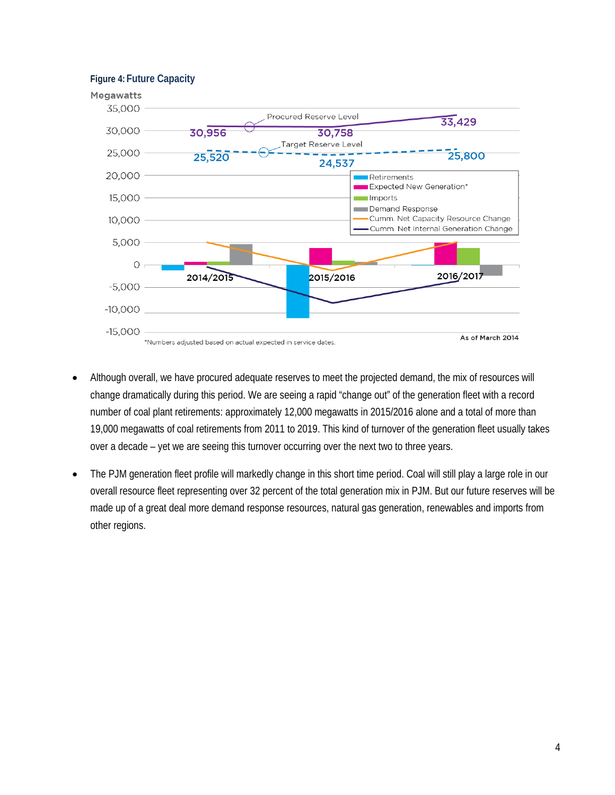

- Although overall, we have procured adequate reserves to meet the projected demand, the mix of resources will change dramatically during this period. We are seeing a rapid "change out" of the generation fleet with a record number of coal plant retirements: approximately 12,000 megawatts in 2015/2016 alone and a total of more than 19,000 megawatts of coal retirements from 2011 to 2019. This kind of turnover of the generation fleet usually takes over a decade – yet we are seeing this turnover occurring over the next two to three years.
- The PJM generation fleet profile will markedly change in this short time period. Coal will still play a large role in our overall resource fleet representing over 32 percent of the total generation mix in PJM. But our future reserves will be made up of a great deal more demand response resources, natural gas generation, renewables and imports from other regions.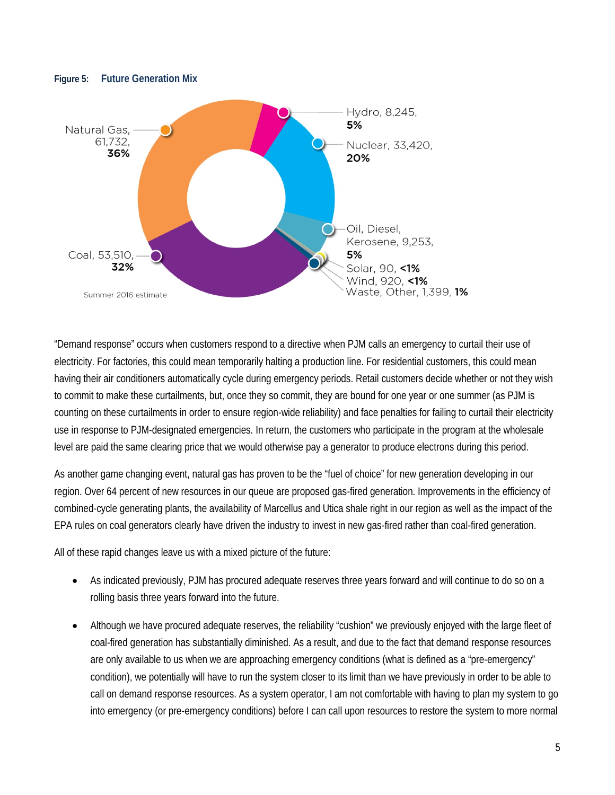

#### **Figure 5: Future Generation Mix**

"Demand response" occurs when customers respond to a directive when PJM calls an emergency to curtail their use of electricity. For factories, this could mean temporarily halting a production line. For residential customers, this could mean having their air conditioners automatically cycle during emergency periods. Retail customers decide whether or not they wish to commit to make these curtailments, but, once they so commit, they are bound for one year or one summer (as PJM is counting on these curtailments in order to ensure region-wide reliability) and face penalties for failing to curtail their electricity use in response to PJM-designated emergencies. In return, the customers who participate in the program at the wholesale level are paid the same clearing price that we would otherwise pay a generator to produce electrons during this period.

As another game changing event, natural gas has proven to be the "fuel of choice" for new generation developing in our region. Over 64 percent of new resources in our queue are proposed gas-fired generation. Improvements in the efficiency of combined-cycle generating plants, the availability of Marcellus and Utica shale right in our region as well as the impact of the EPA rules on coal generators clearly have driven the industry to invest in new gas-fired rather than coal-fired generation.

All of these rapid changes leave us with a mixed picture of the future:

- As indicated previously, PJM has procured adequate reserves three years forward and will continue to do so on a rolling basis three years forward into the future.
- Although we have procured adequate reserves, the reliability "cushion" we previously enjoyed with the large fleet of coal-fired generation has substantially diminished. As a result, and due to the fact that demand response resources are only available to us when we are approaching emergency conditions (what is defined as a "pre-emergency" condition), we potentially will have to run the system closer to its limit than we have previously in order to be able to call on demand response resources. As a system operator, I am not comfortable with having to plan my system to go into emergency (or pre-emergency conditions) before I can call upon resources to restore the system to more normal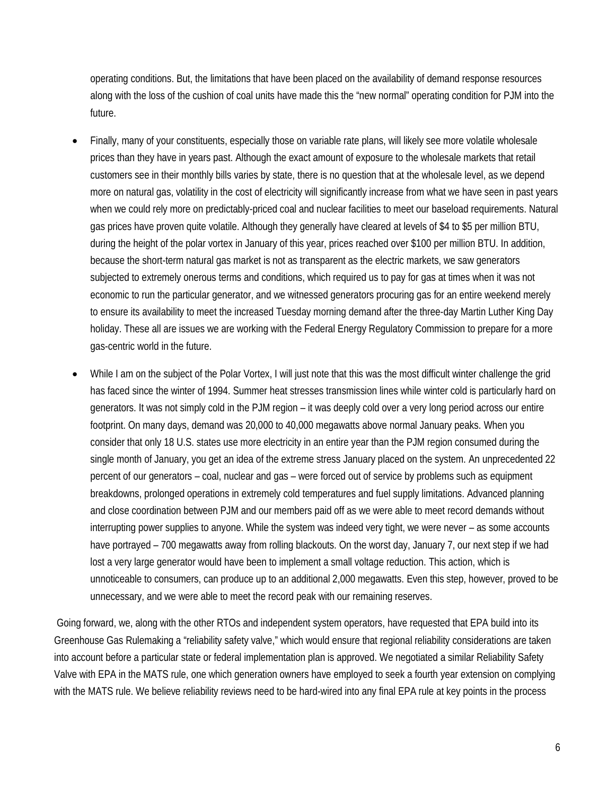operating conditions. But, the limitations that have been placed on the availability of demand response resources along with the loss of the cushion of coal units have made this the "new normal" operating condition for PJM into the future.

- Finally, many of your constituents, especially those on variable rate plans, will likely see more volatile wholesale prices than they have in years past. Although the exact amount of exposure to the wholesale markets that retail customers see in their monthly bills varies by state, there is no question that at the wholesale level, as we depend more on natural gas, volatility in the cost of electricity will significantly increase from what we have seen in past years when we could rely more on predictably-priced coal and nuclear facilities to meet our baseload requirements. Natural gas prices have proven quite volatile. Although they generally have cleared at levels of \$4 to \$5 per million BTU, during the height of the polar vortex in January of this year, prices reached over \$100 per million BTU. In addition, because the short-term natural gas market is not as transparent as the electric markets, we saw generators subjected to extremely onerous terms and conditions, which required us to pay for gas at times when it was not economic to run the particular generator, and we witnessed generators procuring gas for an entire weekend merely to ensure its availability to meet the increased Tuesday morning demand after the three-day Martin Luther King Day holiday. These all are issues we are working with the Federal Energy Regulatory Commission to prepare for a more gas-centric world in the future.
- While I am on the subject of the Polar Vortex, I will just note that this was the most difficult winter challenge the grid has faced since the winter of 1994. Summer heat stresses transmission lines while winter cold is particularly hard on generators. It was not simply cold in the PJM region – it was deeply cold over a very long period across our entire footprint. On many days, demand was 20,000 to 40,000 megawatts above normal January peaks. When you consider that only 18 U.S. states use more electricity in an entire year than the PJM region consumed during the single month of January, you get an idea of the extreme stress January placed on the system. An unprecedented 22 percent of our generators – coal, nuclear and gas – were forced out of service by problems such as equipment breakdowns, prolonged operations in extremely cold temperatures and fuel supply limitations. Advanced planning and close coordination between PJM and our members paid off as we were able to meet record demands without interrupting power supplies to anyone. While the system was indeed very tight, we were never – as some accounts have portrayed – 700 megawatts away from rolling blackouts. On the worst day, January 7, our next step if we had lost a very large generator would have been to implement a small voltage reduction. This action, which is unnoticeable to consumers, can produce up to an additional 2,000 megawatts. Even this step, however, proved to be unnecessary, and we were able to meet the record peak with our remaining reserves.

Going forward, we, along with the other RTOs and independent system operators, have requested that EPA build into its Greenhouse Gas Rulemaking a "reliability safety valve," which would ensure that regional reliability considerations are taken into account before a particular state or federal implementation plan is approved. We negotiated a similar Reliability Safety Valve with EPA in the MATS rule, one which generation owners have employed to seek a fourth year extension on complying with the MATS rule. We believe reliability reviews need to be hard-wired into any final EPA rule at key points in the process